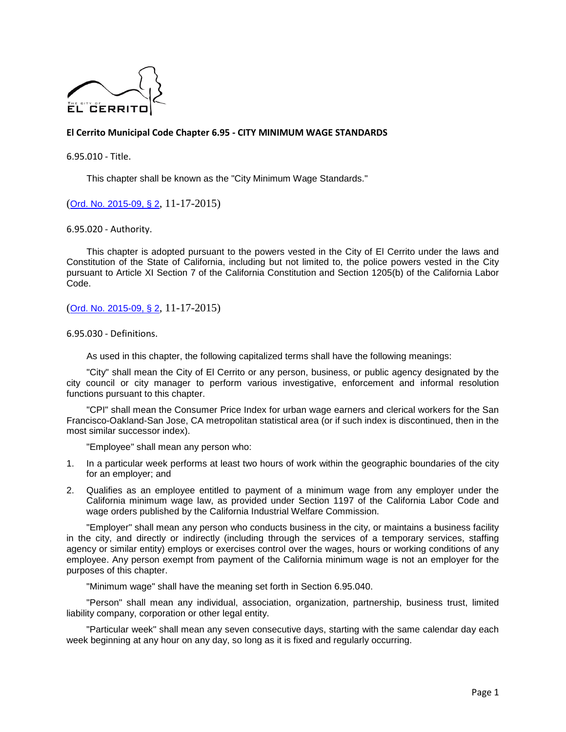

## **El Cerrito Municipal Code Chapter 6.95 - CITY MINIMUM WAGE STANDARDS**

6.95.010 - Title.

This chapter shall be known as the "City Minimum Wage Standards."

([Ord. No. 2015-09, § 2](https://library.municode.com/ca/el_cerrito/ordinances/code_of_ordinances?nodeId=754060), 11-17-2015)

6.95.020 - Authority.

This chapter is adopted pursuant to the powers vested in the City of El Cerrito under the laws and Constitution of the State of California, including but not limited to, the police powers vested in the City pursuant to Article XI Section 7 of the California Constitution and Section 1205(b) of the California Labor Code.

([Ord. No. 2015-09, § 2](https://library.municode.com/ca/el_cerrito/ordinances/code_of_ordinances?nodeId=754060), 11-17-2015)

6.95.030 - Definitions.

As used in this chapter, the following capitalized terms shall have the following meanings:

"City" shall mean the City of El Cerrito or any person, business, or public agency designated by the city council or city manager to perform various investigative, enforcement and informal resolution functions pursuant to this chapter.

"CPI" shall mean the Consumer Price Index for urban wage earners and clerical workers for the San Francisco-Oakland-San Jose, CA metropolitan statistical area (or if such index is discontinued, then in the most similar successor index).

"Employee" shall mean any person who:

- 1. In a particular week performs at least two hours of work within the geographic boundaries of the city for an employer; and
- 2. Qualifies as an employee entitled to payment of a minimum wage from any employer under the California minimum wage law, as provided under Section 1197 of the California Labor Code and wage orders published by the California Industrial Welfare Commission.

"Employer" shall mean any person who conducts business in the city, or maintains a business facility in the city, and directly or indirectly (including through the services of a temporary services, staffing agency or similar entity) employs or exercises control over the wages, hours or working conditions of any employee. Any person exempt from payment of the California minimum wage is not an employer for the purposes of this chapter.

"Minimum wage" shall have the meaning set forth in Section 6.95.040.

"Person" shall mean any individual, association, organization, partnership, business trust, limited liability company, corporation or other legal entity.

"Particular week" shall mean any seven consecutive days, starting with the same calendar day each week beginning at any hour on any day, so long as it is fixed and regularly occurring.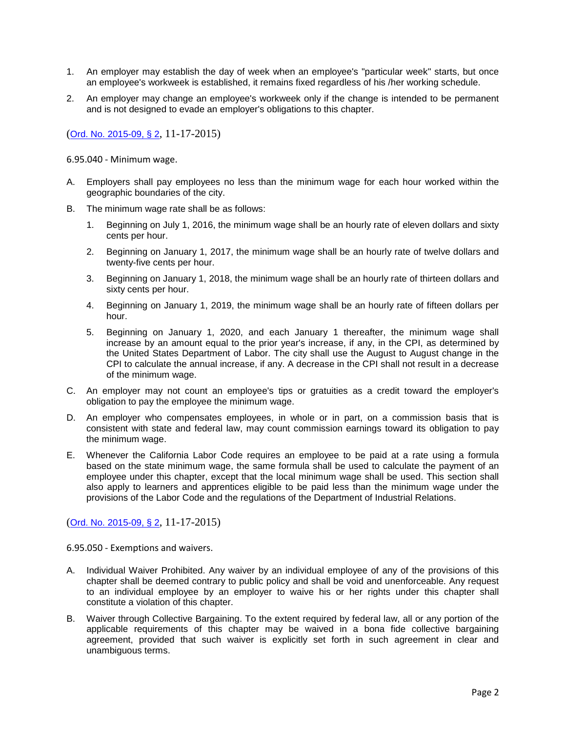- 1. An employer may establish the day of week when an employee's "particular week" starts, but once an employee's workweek is established, it remains fixed regardless of his /her working schedule.
- 2. An employer may change an employee's workweek only if the change is intended to be permanent and is not designed to evade an employer's obligations to this chapter.

6.95.040 - Minimum wage.

- A. Employers shall pay employees no less than the minimum wage for each hour worked within the geographic boundaries of the city.
- B. The minimum wage rate shall be as follows:
	- 1. Beginning on July 1, 2016, the minimum wage shall be an hourly rate of eleven dollars and sixty cents per hour.
	- 2. Beginning on January 1, 2017, the minimum wage shall be an hourly rate of twelve dollars and twenty-five cents per hour.
	- 3. Beginning on January 1, 2018, the minimum wage shall be an hourly rate of thirteen dollars and sixty cents per hour.
	- 4. Beginning on January 1, 2019, the minimum wage shall be an hourly rate of fifteen dollars per hour.
	- 5. Beginning on January 1, 2020, and each January 1 thereafter, the minimum wage shall increase by an amount equal to the prior year's increase, if any, in the CPI, as determined by the United States Department of Labor. The city shall use the August to August change in the CPI to calculate the annual increase, if any. A decrease in the CPI shall not result in a decrease of the minimum wage.
- C. An employer may not count an employee's tips or gratuities as a credit toward the employer's obligation to pay the employee the minimum wage.
- D. An employer who compensates employees, in whole or in part, on a commission basis that is consistent with state and federal law, may count commission earnings toward its obligation to pay the minimum wage.
- E. Whenever the California Labor Code requires an employee to be paid at a rate using a formula based on the state minimum wage, the same formula shall be used to calculate the payment of an employee under this chapter, except that the local minimum wage shall be used. This section shall also apply to learners and apprentices eligible to be paid less than the minimum wage under the provisions of the Labor Code and the regulations of the Department of Industrial Relations.

([Ord. No. 2015-09, § 2](https://library.municode.com/ca/el_cerrito/ordinances/code_of_ordinances?nodeId=754060), 11-17-2015)

6.95.050 - Exemptions and waivers.

- A. Individual Waiver Prohibited. Any waiver by an individual employee of any of the provisions of this chapter shall be deemed contrary to public policy and shall be void and unenforceable. Any request to an individual employee by an employer to waive his or her rights under this chapter shall constitute a violation of this chapter.
- B. Waiver through Collective Bargaining. To the extent required by federal law, all or any portion of the applicable requirements of this chapter may be waived in a bona fide collective bargaining agreement, provided that such waiver is explicitly set forth in such agreement in clear and unambiguous terms.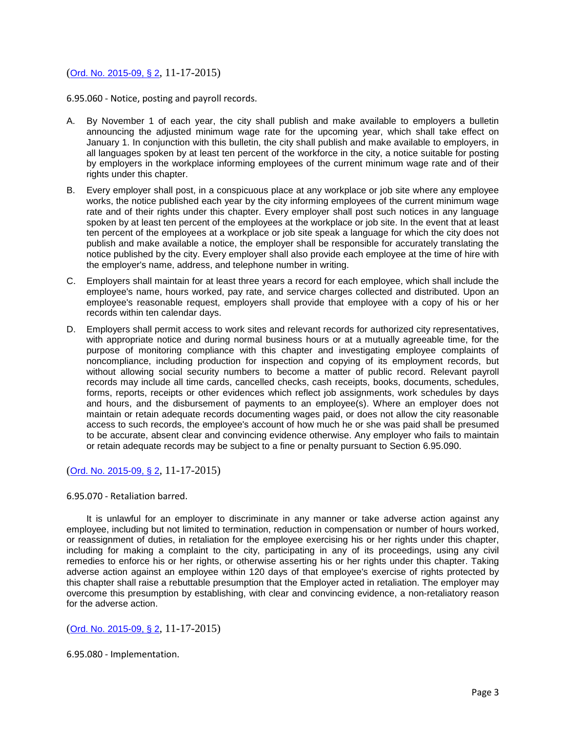6.95.060 - Notice, posting and payroll records.

- A. By November 1 of each year, the city shall publish and make available to employers a bulletin announcing the adjusted minimum wage rate for the upcoming year, which shall take effect on January 1. In conjunction with this bulletin, the city shall publish and make available to employers, in all languages spoken by at least ten percent of the workforce in the city, a notice suitable for posting by employers in the workplace informing employees of the current minimum wage rate and of their rights under this chapter.
- B. Every employer shall post, in a conspicuous place at any workplace or job site where any employee works, the notice published each year by the city informing employees of the current minimum wage rate and of their rights under this chapter. Every employer shall post such notices in any language spoken by at least ten percent of the employees at the workplace or job site. In the event that at least ten percent of the employees at a workplace or job site speak a language for which the city does not publish and make available a notice, the employer shall be responsible for accurately translating the notice published by the city. Every employer shall also provide each employee at the time of hire with the employer's name, address, and telephone number in writing.
- C. Employers shall maintain for at least three years a record for each employee, which shall include the employee's name, hours worked, pay rate, and service charges collected and distributed. Upon an employee's reasonable request, employers shall provide that employee with a copy of his or her records within ten calendar days.
- D. Employers shall permit access to work sites and relevant records for authorized city representatives, with appropriate notice and during normal business hours or at a mutually agreeable time, for the purpose of monitoring compliance with this chapter and investigating employee complaints of noncompliance, including production for inspection and copying of its employment records, but without allowing social security numbers to become a matter of public record. Relevant payroll records may include all time cards, cancelled checks, cash receipts, books, documents, schedules, forms, reports, receipts or other evidences which reflect job assignments, work schedules by days and hours, and the disbursement of payments to an employee(s). Where an employer does not maintain or retain adequate records documenting wages paid, or does not allow the city reasonable access to such records, the employee's account of how much he or she was paid shall be presumed to be accurate, absent clear and convincing evidence otherwise. Any employer who fails to maintain or retain adequate records may be subject to a fine or penalty pursuant to Section 6.95.090.

([Ord. No. 2015-09, § 2](https://library.municode.com/ca/el_cerrito/ordinances/code_of_ordinances?nodeId=754060), 11-17-2015)

6.95.070 - Retaliation barred.

It is unlawful for an employer to discriminate in any manner or take adverse action against any employee, including but not limited to termination, reduction in compensation or number of hours worked, or reassignment of duties, in retaliation for the employee exercising his or her rights under this chapter, including for making a complaint to the city, participating in any of its proceedings, using any civil remedies to enforce his or her rights, or otherwise asserting his or her rights under this chapter. Taking adverse action against an employee within 120 days of that employee's exercise of rights protected by this chapter shall raise a rebuttable presumption that the Employer acted in retaliation. The employer may overcome this presumption by establishing, with clear and convincing evidence, a non-retaliatory reason for the adverse action.

## ([Ord. No. 2015-09, § 2](https://library.municode.com/ca/el_cerrito/ordinances/code_of_ordinances?nodeId=754060), 11-17-2015)

6.95.080 - Implementation.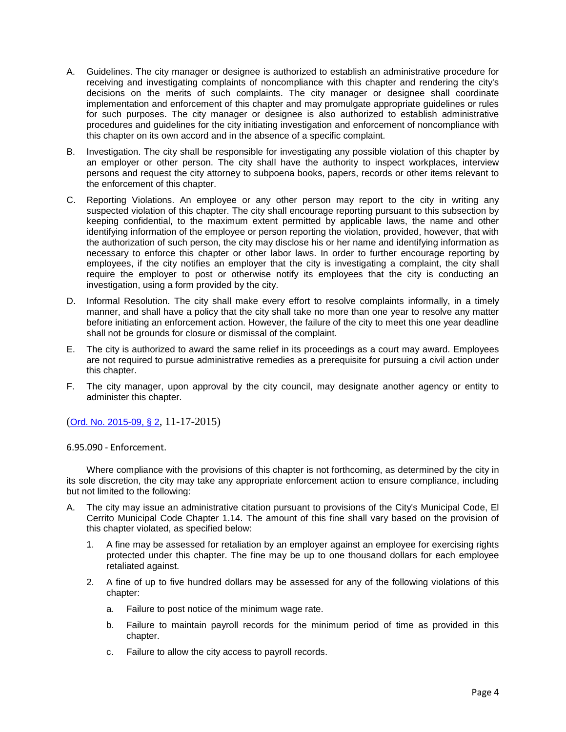- A. Guidelines. The city manager or designee is authorized to establish an administrative procedure for receiving and investigating complaints of noncompliance with this chapter and rendering the city's decisions on the merits of such complaints. The city manager or designee shall coordinate implementation and enforcement of this chapter and may promulgate appropriate guidelines or rules for such purposes. The city manager or designee is also authorized to establish administrative procedures and guidelines for the city initiating investigation and enforcement of noncompliance with this chapter on its own accord and in the absence of a specific complaint.
- B. Investigation. The city shall be responsible for investigating any possible violation of this chapter by an employer or other person. The city shall have the authority to inspect workplaces, interview persons and request the city attorney to subpoena books, papers, records or other items relevant to the enforcement of this chapter.
- C. Reporting Violations. An employee or any other person may report to the city in writing any suspected violation of this chapter. The city shall encourage reporting pursuant to this subsection by keeping confidential, to the maximum extent permitted by applicable laws, the name and other identifying information of the employee or person reporting the violation, provided, however, that with the authorization of such person, the city may disclose his or her name and identifying information as necessary to enforce this chapter or other labor laws. In order to further encourage reporting by employees, if the city notifies an employer that the city is investigating a complaint, the city shall require the employer to post or otherwise notify its employees that the city is conducting an investigation, using a form provided by the city.
- D. Informal Resolution. The city shall make every effort to resolve complaints informally, in a timely manner, and shall have a policy that the city shall take no more than one year to resolve any matter before initiating an enforcement action. However, the failure of the city to meet this one year deadline shall not be grounds for closure or dismissal of the complaint.
- E. The city is authorized to award the same relief in its proceedings as a court may award. Employees are not required to pursue administrative remedies as a prerequisite for pursuing a civil action under this chapter.
- F. The city manager, upon approval by the city council, may designate another agency or entity to administer this chapter.

6.95.090 - Enforcement.

Where compliance with the provisions of this chapter is not forthcoming, as determined by the city in its sole discretion, the city may take any appropriate enforcement action to ensure compliance, including but not limited to the following:

- A. The city may issue an administrative citation pursuant to provisions of the City's Municipal Code, El Cerrito Municipal Code Chapter 1.14. The amount of this fine shall vary based on the provision of this chapter violated, as specified below:
	- 1. A fine may be assessed for retaliation by an employer against an employee for exercising rights protected under this chapter. The fine may be up to one thousand dollars for each employee retaliated against.
	- 2. A fine of up to five hundred dollars may be assessed for any of the following violations of this chapter:
		- a. Failure to post notice of the minimum wage rate.
		- b. Failure to maintain payroll records for the minimum period of time as provided in this chapter.
		- c. Failure to allow the city access to payroll records.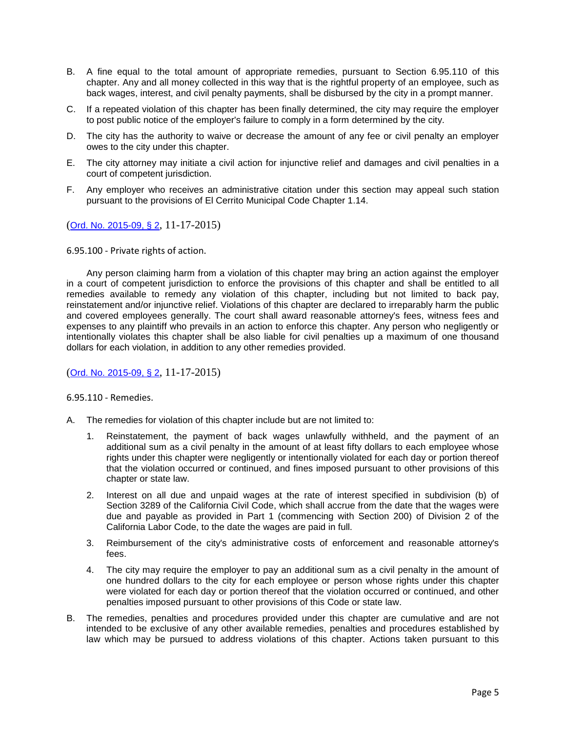- B. A fine equal to the total amount of appropriate remedies, pursuant to Section 6.95.110 of this chapter. Any and all money collected in this way that is the rightful property of an employee, such as back wages, interest, and civil penalty payments, shall be disbursed by the city in a prompt manner.
- C. If a repeated violation of this chapter has been finally determined, the city may require the employer to post public notice of the employer's failure to comply in a form determined by the city.
- D. The city has the authority to waive or decrease the amount of any fee or civil penalty an employer owes to the city under this chapter.
- E. The city attorney may initiate a civil action for injunctive relief and damages and civil penalties in a court of competent jurisdiction.
- F. Any employer who receives an administrative citation under this section may appeal such station pursuant to the provisions of El Cerrito Municipal Code Chapter 1.14.

6.95.100 - Private rights of action.

Any person claiming harm from a violation of this chapter may bring an action against the employer in a court of competent jurisdiction to enforce the provisions of this chapter and shall be entitled to all remedies available to remedy any violation of this chapter, including but not limited to back pay, reinstatement and/or injunctive relief. Violations of this chapter are declared to irreparably harm the public and covered employees generally. The court shall award reasonable attorney's fees, witness fees and expenses to any plaintiff who prevails in an action to enforce this chapter. Any person who negligently or intentionally violates this chapter shall be also liable for civil penalties up a maximum of one thousand dollars for each violation, in addition to any other remedies provided.

([Ord. No. 2015-09, § 2](https://library.municode.com/ca/el_cerrito/ordinances/code_of_ordinances?nodeId=754060), 11-17-2015)

6.95.110 - Remedies.

- A. The remedies for violation of this chapter include but are not limited to:
	- 1. Reinstatement, the payment of back wages unlawfully withheld, and the payment of an additional sum as a civil penalty in the amount of at least fifty dollars to each employee whose rights under this chapter were negligently or intentionally violated for each day or portion thereof that the violation occurred or continued, and fines imposed pursuant to other provisions of this chapter or state law.
	- 2. Interest on all due and unpaid wages at the rate of interest specified in subdivision (b) of Section 3289 of the California Civil Code, which shall accrue from the date that the wages were due and payable as provided in Part 1 (commencing with Section 200) of Division 2 of the California Labor Code, to the date the wages are paid in full.
	- 3. Reimbursement of the city's administrative costs of enforcement and reasonable attorney's fees.
	- 4. The city may require the employer to pay an additional sum as a civil penalty in the amount of one hundred dollars to the city for each employee or person whose rights under this chapter were violated for each day or portion thereof that the violation occurred or continued, and other penalties imposed pursuant to other provisions of this Code or state law.
- B. The remedies, penalties and procedures provided under this chapter are cumulative and are not intended to be exclusive of any other available remedies, penalties and procedures established by law which may be pursued to address violations of this chapter. Actions taken pursuant to this